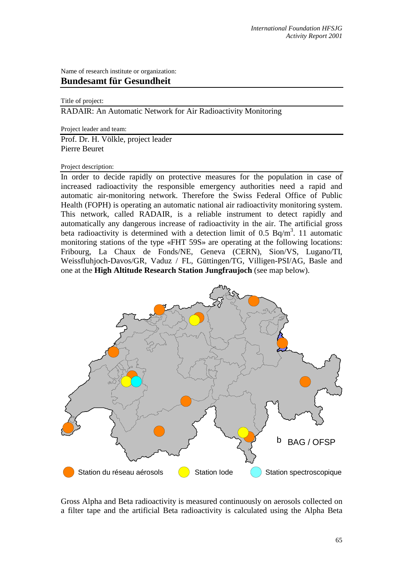Name of research institute or organization: **Bundesamt für Gesundheit** 

## Title of project:

RADAIR: An Automatic Network for Air Radioactivity Monitoring

Project leader and team:

Prof. Dr. H. Völkle, project leader Pierre Beuret

## Project description:

In order to decide rapidly on protective measures for the population in case of increased radioactivity the responsible emergency authorities need a rapid and automatic air-monitoring network. Therefore the Swiss Federal Office of Public Health (FOPH) is operating an automatic national air radioactivity monitoring system. This network, called RADAIR, is a reliable instrument to detect rapidly and automatically any dangerous increase of radioactivity in the air. The artificial gross beta radioactivity is determined with a detection limit of 0.5 Bq/m<sup>3</sup>. 11 automatic monitoring stations of the type «FHT 59S» are operating at the following locations: Fribourg, La Chaux de Fonds/NE, Geneva (CERN), Sion/VS, Lugano/TI, Weissfluhjoch-Davos/GR, Vaduz / FL, Güttingen/TG, Villigen-PSI/AG, Basle and one at the **High Altitude Research Station Jungfraujoch** (see map below).



Gross Alpha and Beta radioactivity is measured continuously on aerosols collected on a filter tape and the artificial Beta radioactivity is calculated using the Alpha Beta